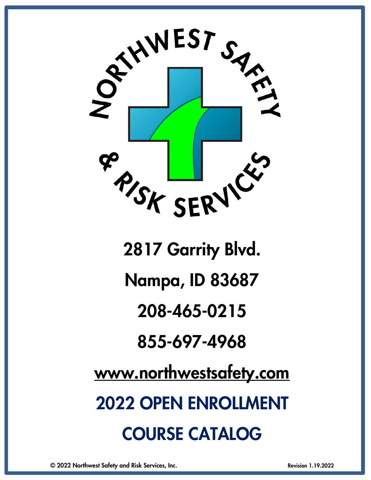

Nampa, ID 83687

208-465-0215

855-697-4968

[www.northwestsafety.com](http://www.northwestsafety.com/)

2022 OPEN ENROLLMENT COURSE CATALOG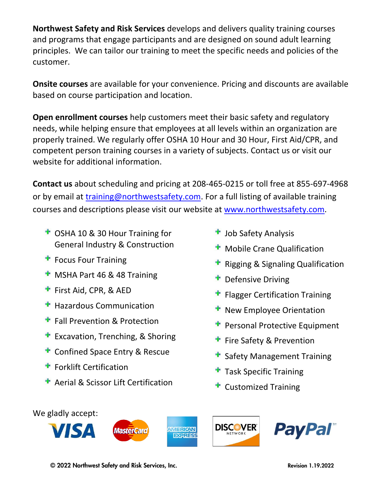**Northwest Safety and Risk Services** develops and delivers quality training courses and programs that engage participants and are designed on sound adult learning principles. We can tailor our training to meet the specific needs and policies of the customer.

**Onsite courses** are available for your convenience. Pricing and discounts are available based on course participation and location.

**Open enrollment courses** help customers meet their basic safety and regulatory needs, while helping ensure that employees at all levels within an organization are properly trained. We regularly offer OSHA 10 Hour and 30 Hour, First Aid/CPR, and competent person training courses in a variety of subjects. Contact us or visit our website for additional information.

**Contact us** about scheduling and pricing at 208-465-0215 or toll free at 855-697-4968 or by email at [training@northwestsafety.com.](mailto:training@northwestsafety.com) For a full listing of available training courses and descriptions please visit our website at [www.northwestsafety.com.](http://www.northwestsafety.com/)

- OSHA 10 & 30 Hour Training for General Industry & Construction
- **F** Focus Four Training
- **MSHA Part 46 & 48 Training**
- First Aid, CPR, & AED
- **Hazardous Communication**
- **F** Fall Prevention & Protection
- Excavation, Trenching, & Shoring
- **T** Confined Space Entry & Rescue
- **F** Forklift Certification
- **A** Aerial & Scissor Lift Certification
- Job Safety Analysis
- Mobile Crane Qualification
- Rigging & Signaling Qualification
- Defensive Driving
- Flagger Certification Training
- New Employee Orientation
- Personal Protective Equipment
- Fire Safety & Prevention
- Safety Management Training
- Task Specific Training
- Customized Training

We gladly accept:







© 2022 Northwest Safety and Risk Services, Inc. Revision 1.19.2022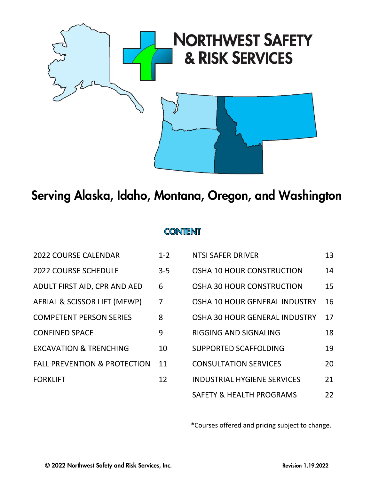

## Serving Alaska, Idaho, Montana, Oregon, and Washington

## **CONTENT**

| <b>2022 COURSE CALENDAR</b>             | $1 - 2$        | <b>NTSI SAFER DRIVER</b>           | 13 |
|-----------------------------------------|----------------|------------------------------------|----|
| <b>2022 COURSE SCHEDULE</b>             | $3 - 5$        | OSHA 10 HOUR CONSTRUCTION          | 14 |
| ADULT FIRST AID, CPR AND AED            | 6              | OSHA 30 HOUR CONSTRUCTION          | 15 |
| AERIAL & SCISSOR LIFT (MEWP)            | $\overline{7}$ | OSHA 10 HOUR GENERAL INDUSTRY      | 16 |
| <b>COMPETENT PERSON SERIES</b>          | 8              | OSHA 30 HOUR GENERAL INDUSTRY      | 17 |
| <b>CONFINED SPACE</b>                   | 9              | RIGGING AND SIGNALING              | 18 |
| <b>EXCAVATION &amp; TRENCHING</b>       | 10             | <b>SUPPORTED SCAFFOLDING</b>       | 19 |
| <b>FALL PREVENTION &amp; PROTECTION</b> | 11             | <b>CONSULTATION SERVICES</b>       | 20 |
| <b>FORKLIFT</b>                         | 12             | <b>INDUSTRIAL HYGIENE SERVICES</b> | 21 |
|                                         |                |                                    |    |

| 2022 COURSE CALENDAR                    | $1 - 2$        | NTSI SAFER DRIVER                   | 13 |
|-----------------------------------------|----------------|-------------------------------------|----|
| <b>2022 COURSE SCHEDULE</b>             | $3 - 5$        | <b>OSHA 10 HOUR CONSTRUCTION</b>    | 14 |
| ADULT FIRST AID, CPR AND AED            | 6              | <b>OSHA 30 HOUR CONSTRUCTION</b>    | 15 |
| AERIAL & SCISSOR LIFT (MEWP)            | $\overline{7}$ | OSHA 10 HOUR GENERAL INDUSTRY       | 16 |
| <b>COMPETENT PERSON SERIES</b>          | 8              | OSHA 30 HOUR GENERAL INDUSTRY       | 17 |
| <b>CONFINED SPACE</b>                   | 9              | <b>RIGGING AND SIGNALING</b>        | 18 |
| <b>EXCAVATION &amp; TRENCHING</b>       | 10             | <b>SUPPORTED SCAFFOLDING</b>        | 19 |
| <b>FALL PREVENTION &amp; PROTECTION</b> | 11             | <b>CONSULTATION SERVICES</b>        | 20 |
| <b>FORKLIFT</b>                         | 12             | <b>INDUSTRIAL HYGIENE SERVICES</b>  | 21 |
|                                         |                | <b>SAFETY &amp; HEALTH PROGRAMS</b> | 22 |

\*Courses offered and pricing subject to change.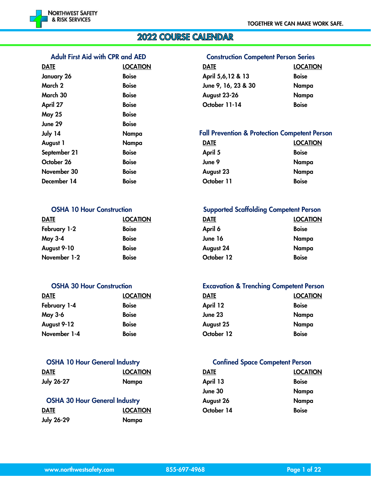

## **2022 COURSE CALENDAR**

#### Adult First Aid with CPR and AED Construction Competent Person Series

| <b>DATE</b>   | <b>LOCATION</b> | <b>DATE</b>                                       | <b>LOCATI</b> |
|---------------|-----------------|---------------------------------------------------|---------------|
| January 26    | <b>Boise</b>    | April 5,6,12 & 13                                 | <b>Boise</b>  |
| March 2       | <b>Boise</b>    | June 9, 16, 23 & 30                               | Nampa         |
| March 30      | <b>Boise</b>    | August 23-26                                      | Nampa         |
| April 27      | <b>Boise</b>    | October 11-14                                     | <b>Boise</b>  |
| <b>May 25</b> | <b>Boise</b>    |                                                   |               |
| June 29       | <b>Boise</b>    |                                                   |               |
| July 14       | Nampa           | <b>Fall Prevention &amp; Protection Competent</b> |               |
| August 1      | Nampa           | <b>DATE</b>                                       | <b>LOCATI</b> |
| September 21  | <b>Boise</b>    | April 5                                           | <b>Boise</b>  |
| October 26    | <b>Boise</b>    | June 9                                            | Nampa         |
| November 30   | <b>Boise</b>    | August 23                                         | Nampa         |
| December 14   | <b>Boise</b>    | October 11                                        | <b>Boise</b>  |

| <b>DATE</b>    | <b>LOCATION</b> | <b>DATE</b> | <u>LOCA</u>  |
|----------------|-----------------|-------------|--------------|
| February 1-2   | <b>Boise</b>    | April 6     | <b>Boise</b> |
| <b>May 3-4</b> | <b>Boise</b>    | June 16     | Nam          |
| August 9-10    | <b>Boise</b>    | August 24   | Nam          |
| November 1-2   | <b>Boise</b>    | October 12  | <b>Boise</b> |

| <b>DATE</b>    | <b>LOCATION</b> | <b>DATE</b> | <b>LOCA</b>  |
|----------------|-----------------|-------------|--------------|
| February 1-4   | <b>Boise</b>    | April 12    | <b>Boise</b> |
| <b>May 3-6</b> | <b>Boise</b>    | June 23     | Nam          |
| August 9-12    | <b>Boise</b>    | August 25   | Nam          |
| November 1-4   | <b>Boise</b>    | October 12  | <b>Boise</b> |

| <b>DATE</b>       | <b>LOCATION</b> | <b>DATE</b> | <b>LOCA</b>  |
|-------------------|-----------------|-------------|--------------|
| <b>July 26-27</b> | Nampa           | April 13    | <b>Boise</b> |
|                   |                 |             |              |

| <b>OSHA 30 Hour General Industry</b> |                 | August 26  | Namı         |
|--------------------------------------|-----------------|------------|--------------|
| <b>DATE</b>                          | <b>LOCATION</b> | October 14 | <b>Boise</b> |
| <b>July 26-29</b>                    | Nampa           |            |              |

| <u>DATE</u> | <b>LOCATION</b> | DATE                | <b>LOCATION</b> |
|-------------|-----------------|---------------------|-----------------|
| January 26  | <b>Boise</b>    | April 5,6,12 & 13   | <b>Boise</b>    |
| March 2     | <b>Boise</b>    | June 9, 16, 23 & 30 | Nampa           |
| March 30    | <b>Boise</b>    | August 23-26        | Nampa           |
| April 27    | <b>Boise</b>    | October 11-14       | <b>Boise</b>    |

#### Fall Prevention & Protection Competent Person

| August 1     | Nampa        | <b>DATE</b> | <b>LOCATION</b> |
|--------------|--------------|-------------|-----------------|
| September 21 | <b>Boise</b> | April 5     | <b>Boise</b>    |
| October 26   | <b>Boise</b> | June 9      | Nampa           |
| November 30  | <b>Boise</b> | August 23   | Nampa           |
| December 14  | <b>Boise</b> | October 11  | <b>Boise</b>    |

#### OSHA 10 Hour Construction Supported Scaffolding Competent Person

| <b>DATE</b>  | <b>LOCATION</b> | <b>DATE</b> | <b>LOCATION</b> |
|--------------|-----------------|-------------|-----------------|
| February 1-2 | <b>Boise</b>    | April 6     | <b>Boise</b>    |
| May 3-4      | <b>Boise</b>    | June 16     | Nampa           |
| August 9-10  | <b>Boise</b>    | August 24   | Nampa           |
| November 1-2 | <b>Boise</b>    | October 12  | <b>Boise</b>    |
|              |                 |             |                 |

#### OSHA 30 Hour Construction Excavation & Trenching Competent Person

| <b>DATE</b>  | <b>LOCATION</b> | <b>DATE</b> | <b>LOCATION</b> |
|--------------|-----------------|-------------|-----------------|
| February 1-4 | <b>Boise</b>    | April 12    | <b>Boise</b>    |
| May 3-6      | <b>Boise</b>    | June 23     | Nampa           |
| August 9-12  | <b>Boise</b>    | August 25   | Nampa           |
| November 1-4 | <b>Boise</b>    | October 12  | <b>Boise</b>    |

#### OSHA 10 Hour General Industry Confined Space Competent Person

| DATE                                 | <b>LOCATION</b> | <b>DATE</b> | <b>LOCATION</b> |
|--------------------------------------|-----------------|-------------|-----------------|
| July 26-27                           | Nampa           | April 13    | <b>Boise</b>    |
|                                      |                 | June 30     | Nampa           |
| <b>OSHA 30 Hour General Industry</b> |                 | August 26   | <b>Nampa</b>    |
| DATE                                 | <b>LOCATION</b> | October 14  | <b>Boise</b>    |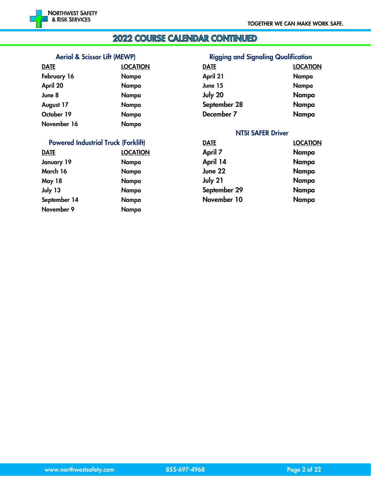#### 2022 COURSE CALENDAR CONTINUED

#### Aerial & Scissor Lift (MEWP) Rigging and Signaling Qualification

| <b>DATE</b> | <b>LOCATION</b> | <b>DATE</b>              | <b>LOCATION</b> |
|-------------|-----------------|--------------------------|-----------------|
| February 16 | Nampa           | April 21                 | Nampa           |
| April 20    | Nampa           | June 15                  | Nampa           |
| June 8      | Nampa           | July 20                  | Nampa           |
| August 17   | Nampa           | September 28             | Nampa           |
| October 19  | Nampa           | December 7               | Nampa           |
| November 16 | Nampa           |                          |                 |
|             |                 | <b>NTSI SAFER Driver</b> |                 |

#### Powered Industrial Truck (Forklift) DATE DATE DESCATION

| <b>DATE</b>   | <b>LOCATION</b> | April 7      | Nampa |
|---------------|-----------------|--------------|-------|
| January 19    | Nampa           | April 14     | Nampa |
| March 16      | Nampa           | June 22      | Nampa |
| <b>May 18</b> | Nampa           | July 21      | Nampa |
| July 13       | Nampa           | September 29 | Nampa |
| September 14  | Nampa           | November 10  | Nampa |
| November 9    | Nampa           |              |       |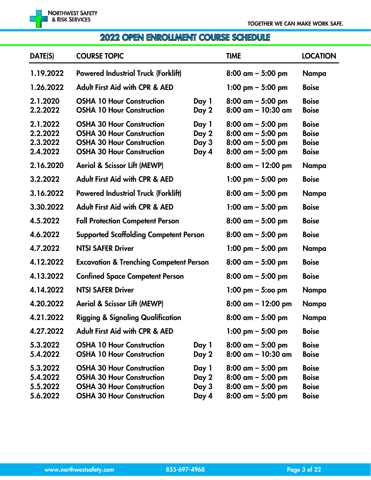### 2022 OPEN ENROLLMENT COURSE SCHEDULE

| DATE(S)                                      | <b>COURSE TOPIC</b>                                                                                                                          |                                  | <b>TIME</b>                                                                                  | <b>LOCATION</b>                                              |
|----------------------------------------------|----------------------------------------------------------------------------------------------------------------------------------------------|----------------------------------|----------------------------------------------------------------------------------------------|--------------------------------------------------------------|
| 1.19.2022                                    | <b>Powered Industrial Truck (Forklift)</b>                                                                                                   |                                  | $8:00$ am $-5:00$ pm                                                                         | Nampa                                                        |
| 1.26.2022                                    | <b>Adult First Aid with CPR &amp; AED</b>                                                                                                    |                                  | $1:00 \text{ pm} - 5:00 \text{ pm}$                                                          | <b>Boise</b>                                                 |
| 2.1.2020<br>2.2.2022                         | <b>OSHA 10 Hour Construction</b><br><b>OSHA 10 Hour Construction</b>                                                                         | Day 1<br>Day 2                   | $8:00$ am $-5:00$ pm<br>$8:00$ am - 10:30 am                                                 | <b>Boise</b><br><b>Boise</b>                                 |
| 2.1.2022<br>2.2.2022<br>2.3.2022<br>2.4.2022 | <b>OSHA 30 Hour Construction</b><br><b>OSHA 30 Hour Construction</b><br><b>OSHA 30 Hour Construction</b><br><b>OSHA 30 Hour Construction</b> | Day 1<br>Day 2<br>Day 3<br>Day 4 | $8:00$ am $-5:00$ pm<br>$8:00$ am $-5:00$ pm<br>$8:00$ am $-5:00$ pm<br>$8:00$ am $-5:00$ pm | <b>Boise</b><br><b>Boise</b><br><b>Boise</b><br><b>Boise</b> |
| 2.16.2020                                    | <b>Aerial &amp; Scissor Lift (MEWP)</b>                                                                                                      |                                  |                                                                                              | Nampa                                                        |
| 3.2.2022                                     | <b>Adult First Aid with CPR &amp; AED</b>                                                                                                    |                                  | 1:00 pm $-$ 5:00 pm                                                                          | <b>Boise</b>                                                 |
| 3.16.2022                                    | <b>Powered Industrial Truck (Forklift)</b>                                                                                                   |                                  | $8:00$ am $-5:00$ pm                                                                         | Nampa                                                        |
| 3.30.2022                                    | <b>Adult First Aid with CPR &amp; AED</b>                                                                                                    |                                  | 1:00 am $-$ 5:00 pm                                                                          | <b>Boise</b>                                                 |
| 4.5.2022                                     | <b>Fall Protection Competent Person</b>                                                                                                      |                                  | $8:00$ am $-5:00$ pm                                                                         | <b>Boise</b>                                                 |
| 4.6.2022                                     | <b>Supported Scaffolding Competent Person</b>                                                                                                |                                  | $8:00$ am $-5:00$ pm                                                                         | <b>Boise</b>                                                 |
| 4.7.2022                                     | <b>NTSI SAFER Driver</b>                                                                                                                     |                                  | 1:00 pm $-$ 5:00 pm                                                                          | Nampa                                                        |
| 4.12.2022                                    | <b>Excavation &amp; Trenching Competent Person</b>                                                                                           |                                  | $8:00$ am $-5:00$ pm                                                                         | <b>Boise</b>                                                 |
| 4.13.2022                                    | <b>Confined Space Competent Person</b>                                                                                                       |                                  | $8:00 \text{ cm} - 5:00 \text{ pm}$                                                          | <b>Boise</b>                                                 |
| 4.14.2022                                    | <b>NTSI SAFER Driver</b>                                                                                                                     |                                  | $1:00 \text{ pm} - 5:00 \text{ pm}$                                                          | Nampa                                                        |
| 4.20.2022                                    | <b>Aerial &amp; Scissor Lift (MEWP)</b>                                                                                                      |                                  | $8:00$ am - 12:00 pm                                                                         | Nampa                                                        |
| 4.21.2022                                    | <b>Rigging &amp; Signaling Qualification</b>                                                                                                 |                                  | $8:00$ am $-5:00$ pm                                                                         | Nampa                                                        |
| 4.27.2022                                    | <b>Adult First Aid with CPR &amp; AED</b>                                                                                                    |                                  | $1:00 \text{ pm} - 5:00 \text{ pm}$                                                          | <b>Boise</b>                                                 |
| 5.3.2022<br>5.4.2022                         | <b>OSHA 10 Hour Construction</b><br><b>OSHA 10 Hour Construction</b>                                                                         | Day 1<br>Day 2                   | $8:00$ am $-5:00$ pm<br>$8:00$ am $- 10:30$ am                                               | <b>Boise</b><br><b>Boise</b>                                 |
| 5.3.2022<br>5.4.2022<br>5.5.2022<br>5.6.2022 | <b>OSHA 30 Hour Construction</b><br><b>OSHA 30 Hour Construction</b><br><b>OSHA 30 Hour Construction</b><br><b>OSHA 30 Hour Construction</b> | Day 1<br>Day 2<br>Day 3<br>Day 4 | $8:00$ am $-5:00$ pm<br>$8:00$ am $-5:00$ pm<br>$8:00$ am $-5:00$ pm<br>$8:00$ am $-5:00$ pm | <b>Boise</b><br><b>Boise</b><br><b>Boise</b><br><b>Boise</b> |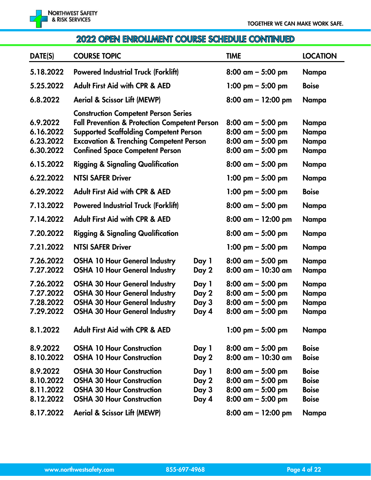

## 2022 OPEN ENROLLMENT COURSE SCHEDULE CONTINUED

| DATE(S)                                          | <b>COURSE TOPIC</b>                                                                                                                                                                                                                                      |                                  | <b>TIME</b>                                                                                                 | <b>LOCATION</b>                                              |
|--------------------------------------------------|----------------------------------------------------------------------------------------------------------------------------------------------------------------------------------------------------------------------------------------------------------|----------------------------------|-------------------------------------------------------------------------------------------------------------|--------------------------------------------------------------|
| 5.18.2022                                        | <b>Powered Industrial Truck (Forklift)</b>                                                                                                                                                                                                               |                                  | $8:00$ am $-5:00$ pm                                                                                        | Nampa                                                        |
| 5.25.2022                                        | <b>Adult First Aid with CPR &amp; AED</b>                                                                                                                                                                                                                |                                  | $1:00 \text{ pm} - 5:00 \text{ pm}$                                                                         | <b>Boise</b>                                                 |
| 6.8.2022                                         | <b>Aerial &amp; Scissor Lift (MEWP)</b>                                                                                                                                                                                                                  |                                  | $8:00$ am $-12:00$ pm                                                                                       | Nampa                                                        |
| 6.9.2022<br>6.16.2022<br>6.23.2022<br>6.30.2022  | <b>Construction Competent Person Series</b><br><b>Fall Prevention &amp; Protection Competent Person</b><br><b>Supported Scaffolding Competent Person</b><br><b>Excavation &amp; Trenching Competent Person</b><br><b>Confined Space Competent Person</b> |                                  | $8:00 \text{ cm} - 5:00 \text{ pm}$<br>$8:00$ am $-5:00$ pm<br>$8:00$ am $-5:00$ pm<br>$8:00$ am $-5:00$ pm | Nampa<br>Nampa<br>Nampa<br>Nampa                             |
| 6.15.2022                                        | <b>Rigging &amp; Signaling Qualification</b>                                                                                                                                                                                                             |                                  | $8:00$ am $-5:00$ pm                                                                                        | Nampa                                                        |
| 6.22.2022                                        | <b>NTSI SAFER Driver</b>                                                                                                                                                                                                                                 |                                  | 1:00 pm $-$ 5:00 pm                                                                                         | Nampa                                                        |
| 6.29.2022                                        | <b>Adult First Aid with CPR &amp; AED</b>                                                                                                                                                                                                                |                                  | 1:00 pm $-$ 5:00 pm                                                                                         | <b>Boise</b>                                                 |
| 7.13.2022                                        | <b>Powered Industrial Truck (Forklift)</b>                                                                                                                                                                                                               |                                  | $8:00$ am $-5:00$ pm                                                                                        | Nampa                                                        |
| 7.14.2022                                        | <b>Adult First Aid with CPR &amp; AED</b>                                                                                                                                                                                                                |                                  | $8:00$ am $- 12:00$ pm                                                                                      | Nampa                                                        |
| 7.20.2022                                        | <b>Rigging &amp; Signaling Qualification</b>                                                                                                                                                                                                             |                                  | $8:00$ am $-5:00$ pm                                                                                        | Nampa                                                        |
| 7.21.2022                                        | <b>NTSI SAFER Driver</b>                                                                                                                                                                                                                                 |                                  | 1:00 pm $-$ 5:00 pm                                                                                         | Nampa                                                        |
| 7.26.2022<br>7.27.2022                           | <b>OSHA 10 Hour General Industry</b><br><b>OSHA 10 Hour General Industry</b>                                                                                                                                                                             | Day 1<br>Day 2                   | $8:00$ am $-5:00$ pm<br>$8:00$ am - 10:30 am                                                                | Nampa<br>Nampa                                               |
| 7.26.2022<br>7.27.2022<br>7.28.2022<br>7.29.2022 | <b>OSHA 30 Hour General Industry</b><br><b>OSHA 30 Hour General Industry</b><br><b>OSHA 30 Hour General Industry</b><br><b>OSHA 30 Hour General Industry</b>                                                                                             | Day 1<br>Day 2<br>Day 3<br>Day 4 | $8:00$ am $-5:00$ pm<br>$8:00$ am $-5:00$ pm<br>$8:00$ am $-5:00$ pm<br>$8:00$ am $-5:00$ pm                | Nampa<br>Nampa<br>Nampa<br>Nampa                             |
| 8.1.2022                                         | <b>Adult First Aid with CPR &amp; AED</b>                                                                                                                                                                                                                |                                  | 1:00 pm $-$ 5:00 pm                                                                                         | Nampa                                                        |
| 8.9.2022<br>8.10.2022                            | <b>OSHA 10 Hour Construction</b><br><b>OSHA 10 Hour Construction</b>                                                                                                                                                                                     | Day 1<br>Day 2                   | $8:00$ am $-5:00$ pm<br>$8:00$ am $-10:30$ am                                                               | <b>Boise</b><br><b>Boise</b>                                 |
| 8.9.2022<br>8.10.2022<br>8.11.2022<br>8.12.2022  | <b>OSHA 30 Hour Construction</b><br><b>OSHA 30 Hour Construction</b><br><b>OSHA 30 Hour Construction</b><br><b>OSHA 30 Hour Construction</b>                                                                                                             | Day 1<br>Day 2<br>Day 3<br>Day 4 | $8:00$ am $-5:00$ pm<br>$8:00$ am $-5:00$ pm<br>$8:00$ am $-5:00$ pm<br>$8:00$ am $-5:00$ pm                | <b>Boise</b><br><b>Boise</b><br><b>Boise</b><br><b>Boise</b> |
| 8.17.2022                                        | <b>Aerial &amp; Scissor Lift (MEWP)</b>                                                                                                                                                                                                                  |                                  | $8:00$ am $-12:00$ pm                                                                                       | Nampa                                                        |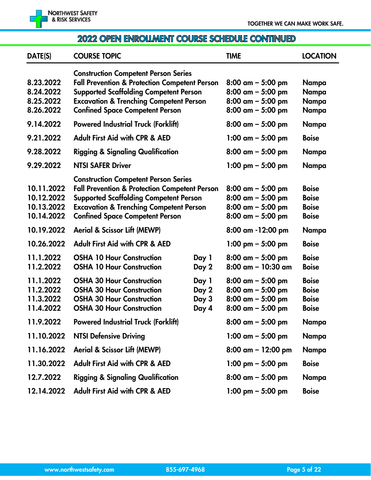

#### 2022 OPEN ENROLLMENT COURSE SCHEDULE CONTINUED

| DATE(S)                                              | <b>COURSE TOPIC</b>                                                                                                                                                                                                                                      |                                  | <b>TIME</b>                                                                                  | <b>LOCATION</b>                                              |
|------------------------------------------------------|----------------------------------------------------------------------------------------------------------------------------------------------------------------------------------------------------------------------------------------------------------|----------------------------------|----------------------------------------------------------------------------------------------|--------------------------------------------------------------|
| 8.23.2022<br>8.24.2022<br>8.25.2022<br>8.26.2022     | <b>Construction Competent Person Series</b><br><b>Fall Prevention &amp; Protection Competent Person</b><br><b>Supported Scaffolding Competent Person</b><br><b>Excavation &amp; Trenching Competent Person</b><br><b>Confined Space Competent Person</b> |                                  | $8:00$ am $-5:00$ pm<br>$8:00$ am $-5:00$ pm<br>$8:00$ am $-5:00$ pm<br>$8:00$ am $-5:00$ pm | Nampa<br>Nampa<br>Nampa<br>Nampa                             |
| 9.14.2022                                            | <b>Powered Industrial Truck (Forklift)</b>                                                                                                                                                                                                               |                                  | $8:00$ am $-5:00$ pm                                                                         | Nampa                                                        |
| 9.21.2022                                            | <b>Adult First Aid with CPR &amp; AED</b>                                                                                                                                                                                                                |                                  | $1:00$ am $-5:00$ pm                                                                         | <b>Boise</b>                                                 |
| 9.28.2022                                            | <b>Rigging &amp; Signaling Qualification</b>                                                                                                                                                                                                             |                                  | $8:00$ am $-5:00$ pm                                                                         | Nampa                                                        |
| 9.29.2022                                            | <b>NTSI SAFER Driver</b>                                                                                                                                                                                                                                 |                                  | 1:00 pm $-$ 5:00 pm                                                                          | Nampa                                                        |
| 10.11.2022<br>10.12.2022<br>10.13.2022<br>10.14.2022 | <b>Construction Competent Person Series</b><br><b>Fall Prevention &amp; Protection Competent Person</b><br><b>Supported Scaffolding Competent Person</b><br><b>Excavation &amp; Trenching Competent Person</b><br><b>Confined Space Competent Person</b> |                                  | $8:00$ am $-5:00$ pm<br>$8:00$ am $-5:00$ pm<br>$8:00$ am $-5:00$ pm<br>$8:00$ am $-5:00$ pm | <b>Boise</b><br><b>Boise</b><br><b>Boise</b><br><b>Boise</b> |
| 10.19.2022                                           | <b>Aerial &amp; Scissor Lift (MEWP)</b>                                                                                                                                                                                                                  |                                  | 8:00 am -12:00 pm                                                                            | Nampa                                                        |
| 10.26.2022                                           | <b>Adult First Aid with CPR &amp; AED</b>                                                                                                                                                                                                                |                                  | 1:00 pm $-$ 5:00 pm                                                                          | <b>Boise</b>                                                 |
| 11.1.2022<br>11.2.2022                               | <b>OSHA 10 Hour Construction</b><br><b>OSHA 10 Hour Construction</b>                                                                                                                                                                                     | Day 1<br>Day 2                   | $8:00$ am $-5:00$ pm<br>$8:00$ am - 10:30 am                                                 | <b>Boise</b><br><b>Boise</b>                                 |
| 11.1.2022<br>11.2.2022<br>11.3.2022<br>11.4.2022     | <b>OSHA 30 Hour Construction</b><br><b>OSHA 30 Hour Construction</b><br><b>OSHA 30 Hour Construction</b><br><b>OSHA 30 Hour Construction</b>                                                                                                             | Day 1<br>Day 2<br>Day 3<br>Day 4 | $8:00$ am $-5:00$ pm<br>$8:00$ am $-5:00$ pm<br>$8:00$ am $-5:00$ pm<br>$8:00$ am $-5:00$ pm | <b>Boise</b><br><b>Boise</b><br><b>Boise</b><br><b>Boise</b> |
| 11.9.2022                                            | <b>Powered Industrial Truck (Forklift)</b>                                                                                                                                                                                                               |                                  | $8:00$ am $-5:00$ pm                                                                         | Nampa                                                        |
| 11.10.2022                                           | <b>NTSI Defensive Driving</b>                                                                                                                                                                                                                            |                                  | $1:00$ am $-5:00$ pm                                                                         | Nampa                                                        |
| 11.16.2022                                           | <b>Aerial &amp; Scissor Lift (MEWP)</b>                                                                                                                                                                                                                  |                                  | $8:00$ am $-12:00$ pm                                                                        | Nampa                                                        |
| 11.30.2022                                           | <b>Adult First Aid with CPR &amp; AED</b>                                                                                                                                                                                                                |                                  | $1:00 \text{ pm} - 5:00 \text{ pm}$                                                          | <b>Boise</b>                                                 |
| 12.7.2022                                            | <b>Rigging &amp; Signaling Qualification</b>                                                                                                                                                                                                             |                                  | $8:00$ am $-5:00$ pm                                                                         | Nampa                                                        |
| 12.14.2022                                           | <b>Adult First Aid with CPR &amp; AED</b>                                                                                                                                                                                                                |                                  | 1:00 pm $-$ 5:00 pm                                                                          | <b>Boise</b>                                                 |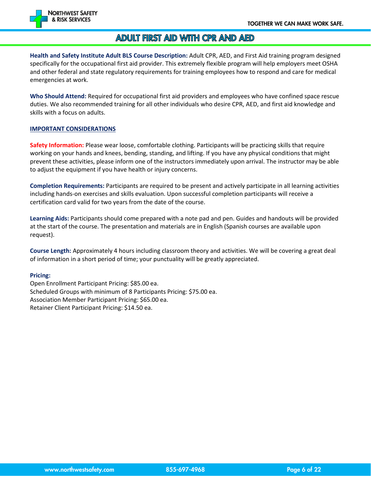

#### **ADULT FIRST AID WITH CPR AND AED**

**Health and Safety Institute Adult BLS Course Description:** Adult CPR, AED, and First Aid training program designed specifically for the occupational first aid provider. This extremely flexible program will help employers meet OSHA and other federal and state regulatory requirements for training employees how to respond and care for medical emergencies at work.

**Who Should Attend:** Required for occupational first aid providers and employees who have confined space rescue duties. We also recommended training for all other individuals who desire CPR, AED, and first aid knowledge and skills with a focus on adults.

#### **IMPORTANT CONSIDERATIONS**

**Safety Information:** Please wear loose, comfortable clothing. Participants will be practicing skills that require working on your hands and knees, bending, standing, and lifting. If you have any physical conditions that might prevent these activities, please inform one of the instructors immediately upon arrival. The instructor may be able to adjust the equipment if you have health or injury concerns.

**Completion Requirements:** Participants are required to be present and actively participate in all learning activities including hands-on exercises and skills evaluation. Upon successful completion participants will receive a certification card valid for two years from the date of the course.

**Learning Aids:** Participants should come prepared with a note pad and pen. Guides and handouts will be provided at the start of the course. The presentation and materials are in English (Spanish courses are available upon request).

**Course Length:** Approximately 4 hours including classroom theory and activities. We will be covering a great deal of information in a short period of time; your punctuality will be greatly appreciated.

#### **Pricing:**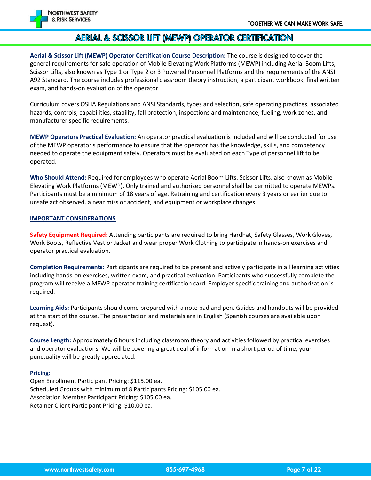

#### AERIAL & SCISSOR LIFT (MEWP) OPERATOR CERTIFICATION

**Aerial & Scissor Lift (MEWP) Operator Certification Course Description:** The course is designed to cover the general requirements for safe operation of Mobile Elevating Work Platforms (MEWP) including Aerial Boom Lifts, Scissor Lifts, also known as Type 1 or Type 2 or 3 Powered Personnel Platforms and the requirements of the ANSI A92 Standard. The course includes professional classroom theory instruction, a participant workbook, final written exam, and hands-on evaluation of the operator.

Curriculum covers OSHA Regulations and ANSI Standards, types and selection, safe operating practices, associated hazards, controls, capabilities, stability, fall protection, inspections and maintenance, fueling, work zones, and manufacturer specific requirements.

**MEWP Operators Practical Evaluation:** An operator practical evaluation is included and will be conducted for use of the MEWP operator's performance to ensure that the operator has the knowledge, skills, and competency needed to operate the equipment safely. Operators must be evaluated on each Type of personnel lift to be operated.

**Who Should Attend:** Required for employees who operate Aerial Boom Lifts, Scissor Lifts, also known as Mobile Elevating Work Platforms (MEWP). Only trained and authorized personnel shall be permitted to operate MEWPs. Participants must be a minimum of 18 years of age. Retraining and certification every 3 years or earlier due to unsafe act observed, a near miss or accident, and equipment or workplace changes.

#### **IMPORTANT CONSIDERATIONS**

**Safety Equipment Required:** Attending participants are required to bring Hardhat, Safety Glasses, Work Gloves, Work Boots, Reflective Vest or Jacket and wear proper Work Clothing to participate in hands-on exercises and operator practical evaluation.

**Completion Requirements:** Participants are required to be present and actively participate in all learning activities including hands-on exercises, written exam, and practical evaluation. Participants who successfully complete the program will receive a MEWP operator training certification card. Employer specific training and authorization is required.

**Learning Aids:** Participants should come prepared with a note pad and pen. Guides and handouts will be provided at the start of the course. The presentation and materials are in English (Spanish courses are available upon request).

**Course Length:** Approximately 6 hours including classroom theory and activities followed by practical exercises and operator evaluations. We will be covering a great deal of information in a short period of time; your punctuality will be greatly appreciated.

#### **Pricing:**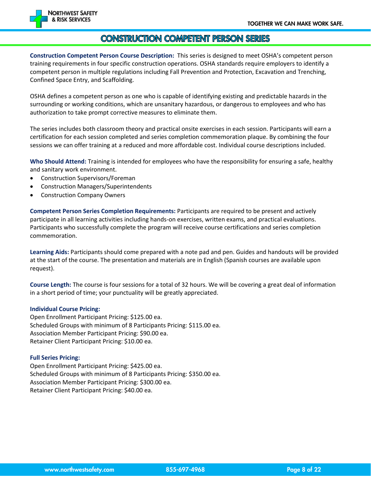

#### CONSTRUCTION COMPETENT PERSON SERIES

**Construction Competent Person Course Description:** This series is designed to meet OSHA's competent person training requirements in four specific construction operations. OSHA standards require employers to identify a competent person in multiple regulations including Fall Prevention and Protection, Excavation and Trenching, Confined Space Entry, and Scaffolding.

OSHA defines a competent person as one who is capable of identifying existing and predictable hazards in the surrounding or working conditions, which are unsanitary hazardous, or dangerous to employees and who has authorization to take prompt corrective measures to eliminate them.

The series includes both classroom theory and practical onsite exercises in each session. Participants will earn a certification for each session completed and series completion commemoration plaque. By combining the four sessions we can offer training at a reduced and more affordable cost. Individual course descriptions included.

**Who Should Attend:** Training is intended for employees who have the responsibility for ensuring a safe, healthy and sanitary work environment.

- Construction Supervisors/Foreman
- Construction Managers/Superintendents
- Construction Company Owners

**Competent Person Series Completion Requirements:** Participants are required to be present and actively participate in all learning activities including hands-on exercises, written exams, and practical evaluations. Participants who successfully complete the program will receive course certifications and series completion commemoration.

**Learning Aids:** Participants should come prepared with a note pad and pen. Guides and handouts will be provided at the start of the course. The presentation and materials are in English (Spanish courses are available upon request).

**Course Length:** The course is four sessions for a total of 32 hours. We will be covering a great deal of information in a short period of time; your punctuality will be greatly appreciated.

#### **Individual Course Pricing:**

Open Enrollment Participant Pricing: \$125.00 ea. Scheduled Groups with minimum of 8 Participants Pricing: \$115.00 ea. Association Member Participant Pricing: \$90.00 ea. Retainer Client Participant Pricing: \$10.00 ea.

#### **Full Series Pricing:**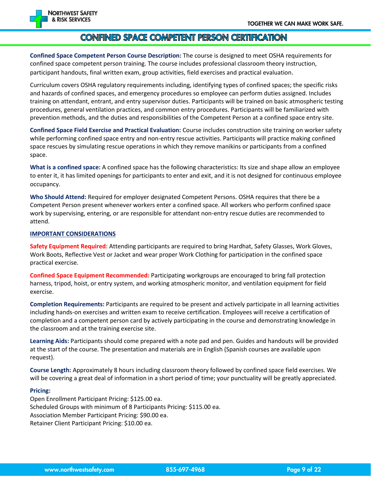

#### CONFINED SPACE COMPETENT PERSON CERTIFICATION

**Confined Space Competent Person Course Description:** The course is designed to meet OSHA requirements for confined space competent person training. The course includes professional classroom theory instruction, participant handouts, final written exam, group activities, field exercises and practical evaluation.

Curriculum covers OSHA regulatory requirements including, identifying types of confined spaces; the specific risks and hazards of confined spaces, and emergency procedures so employee can perform duties assigned. Includes training on attendant, entrant, and entry supervisor duties. Participants will be trained on basic atmospheric testing procedures, general ventilation practices, and common entry procedures. Participants will be familiarized with prevention methods, and the duties and responsibilities of the Competent Person at a confined space entry site.

**Confined Space Field Exercise and Practical Evaluation:** Course includes construction site training on worker safety while performing confined space entry and non-entry rescue activities. Participants will practice making confined space rescues by simulating rescue operations in which they remove manikins or participants from a confined space.

**What is a confined space:** A confined space has the following characteristics: Its size and shape allow an employee to enter it, it has limited openings for participants to enter and exit, and it is not designed for continuous employee occupancy.

**Who Should Attend:** Required for employer designated Competent Persons. OSHA requires that there be a Competent Person present whenever workers enter a confined space. All workers who perform confined space work by supervising, entering, or are responsible for attendant non-entry rescue duties are recommended to attend.

#### **IMPORTANT CONSIDERATIONS**

**Safety Equipment Required:** Attending participants are required to bring Hardhat, Safety Glasses, Work Gloves, Work Boots, Reflective Vest or Jacket and wear proper Work Clothing for participation in the confined space practical exercise.

**Confined Space Equipment Recommended:** Participating workgroups are encouraged to bring fall protection harness, tripod, hoist, or entry system, and working atmospheric monitor, and ventilation equipment for field exercise.

**Completion Requirements:** Participants are required to be present and actively participate in all learning activities including hands-on exercises and written exam to receive certification. Employees will receive a certification of completion and a competent person card by actively participating in the course and demonstrating knowledge in the classroom and at the training exercise site.

**Learning Aids:** Participants should come prepared with a note pad and pen. Guides and handouts will be provided at the start of the course. The presentation and materials are in English (Spanish courses are available upon request).

**Course Length:** Approximately 8 hours including classroom theory followed by confined space field exercises. We will be covering a great deal of information in a short period of time; your punctuality will be greatly appreciated.

#### **Pricing:**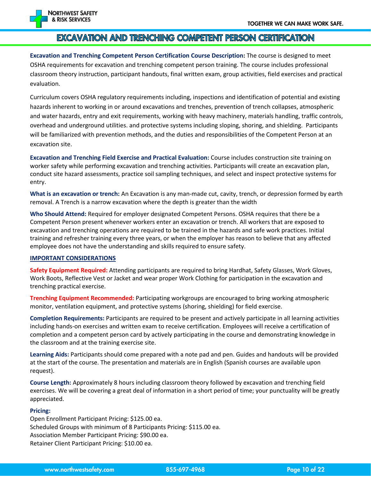

#### EXCAVATION AND TRENCHING COMPETENT PERSON CERTIFICATION

**Excavation and Trenching Competent Person Certification Course Description:** The course is designed to meet OSHA requirements for excavation and trenching competent person training. The course includes professional classroom theory instruction, participant handouts, final written exam, group activities, field exercises and practical evaluation.

Curriculum covers OSHA regulatory requirements including, inspections and identification of potential and existing hazards inherent to working in or around excavations and trenches, prevention of trench collapses, atmospheric and water hazards, entry and exit requirements, working with heavy machinery, materials handling, traffic controls, overhead and underground utilities. and protective systems including sloping, shoring, and shielding. Participants will be familiarized with prevention methods, and the duties and responsibilities of the Competent Person at an excavation site.

**Excavation and Trenching Field Exercise and Practical Evaluation:** Course includes construction site training on worker safety while performing excavation and trenching activities. Participants will create an excavation plan, conduct site hazard assessments, practice soil sampling techniques, and select and inspect protective systems for entry.

**What is an excavation or trench:** An Excavation is any man-made cut, cavity, trench, or depression formed by earth removal. A Trench is a narrow excavation where the depth is greater than the width

**Who Should Attend:** Required for employer designated Competent Persons. OSHA requires that there be a Competent Person present whenever workers enter an excavation or trench. All workers that are exposed to excavation and trenching operations are required to be trained in the hazards and safe work practices. Initial training and refresher training every three years, or when the employer has reason to believe that any affected employee does not have the understanding and skills required to ensure safety.

#### **IMPORTANT CONSIDERATIONS**

**Safety Equipment Required:** Attending participants are required to bring Hardhat, Safety Glasses, Work Gloves, Work Boots, Reflective Vest or Jacket and wear proper Work Clothing for participation in the excavation and trenching practical exercise.

**Trenching Equipment Recommended:** Participating workgroups are encouraged to bring working atmospheric monitor, ventilation equipment, and protective systems (shoring, shielding) for field exercise.

**Completion Requirements:** Participants are required to be present and actively participate in all learning activities including hands-on exercises and written exam to receive certification. Employees will receive a certification of completion and a competent person card by actively participating in the course and demonstrating knowledge in the classroom and at the training exercise site.

**Learning Aids:** Participants should come prepared with a note pad and pen. Guides and handouts will be provided at the start of the course. The presentation and materials are in English (Spanish courses are available upon request).

**Course Length:** Approximately 8 hours including classroom theory followed by excavation and trenching field exercises. We will be covering a great deal of information in a short period of time; your punctuality will be greatly appreciated.

#### **Pricing:**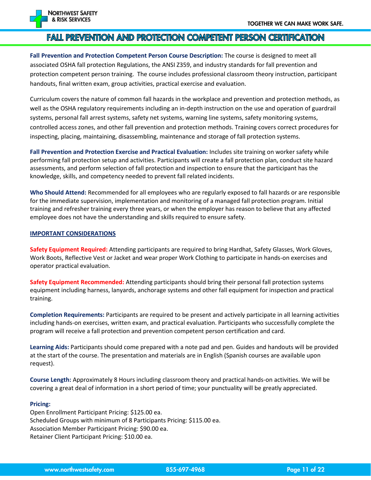

#### FAIL PREVENTION AND PROTECTION COMPETENT PERSON CERTIFICATION

**Fall Prevention and Protection Competent Person Course Description:** The course is designed to meet all associated OSHA fall protection Regulations, the ANSI Z359, and industry standards for fall prevention and protection competent person training. The course includes professional classroom theory instruction, participant handouts, final written exam, group activities, practical exercise and evaluation.

Curriculum covers the nature of common fall hazards in the workplace and prevention and protection methods, as well as the OSHA regulatory requirements including an in-depth instruction on the use and operation of guardrail systems, personal fall arrest systems, safety net systems, warning line systems, safety monitoring systems, controlled access zones, and other fall prevention and protection methods. Training covers correct procedures for inspecting, placing, maintaining, disassembling, maintenance and storage of fall protection systems.

**Fall Prevention and Protection Exercise and Practical Evaluation:** Includes site training on worker safety while performing fall protection setup and activities. Participants will create a fall protection plan, conduct site hazard assessments, and perform selection of fall protection and inspection to ensure that the participant has the knowledge, skills, and competency needed to prevent fall related incidents.

**Who Should Attend:** Recommended for all employees who are regularly exposed to fall hazards or are responsible for the immediate supervision, implementation and monitoring of a managed fall protection program. Initial training and refresher training every three years, or when the employer has reason to believe that any affected employee does not have the understanding and skills required to ensure safety.

#### **IMPORTANT CONSIDERATIONS**

**Safety Equipment Required:** Attending participants are required to bring Hardhat, Safety Glasses, Work Gloves, Work Boots, Reflective Vest or Jacket and wear proper Work Clothing to participate in hands-on exercises and operator practical evaluation.

**Safety Equipment Recommended:** Attending participants should bring their personal fall protection systems equipment including harness, lanyards, anchorage systems and other fall equipment for inspection and practical training.

**Completion Requirements:** Participants are required to be present and actively participate in all learning activities including hands-on exercises, written exam, and practical evaluation. Participants who successfully complete the program will receive a fall protection and prevention competent person certification and card.

**Learning Aids:** Participants should come prepared with a note pad and pen. Guides and handouts will be provided at the start of the course. The presentation and materials are in English (Spanish courses are available upon request).

**Course Length:** Approximately 8 Hours including classroom theory and practical hands-on activities. We will be covering a great deal of information in a short period of time; your punctuality will be greatly appreciated.

#### **Pricing:**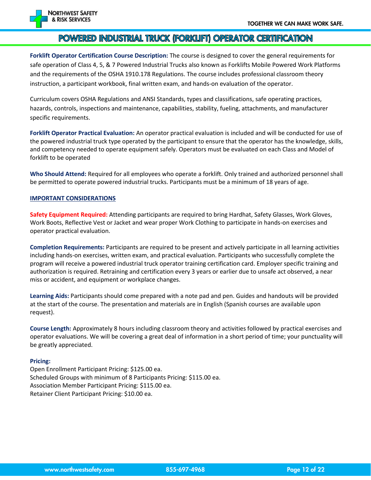

#### POWERED INDUSTRIAL TRUCK (FORKLIFT) OPERATOR CERTIFICATION

**Forklift Operator Certification Course Description:** The course is designed to cover the general requirements for safe operation of Class 4, 5, & 7 Powered Industrial Trucks also known as Forklifts Mobile Powered Work Platforms and the requirements of the OSHA 1910.178 Regulations. The course includes professional classroom theory instruction, a participant workbook, final written exam, and hands-on evaluation of the operator.

Curriculum covers OSHA Regulations and ANSI Standards, types and classifications, safe operating practices, hazards, controls, inspections and maintenance, capabilities, stability, fueling, attachments, and manufacturer specific requirements.

**Forklift Operator Practical Evaluation:** An operator practical evaluation is included and will be conducted for use of the powered industrial truck type operated by the participant to ensure that the operator has the knowledge, skills, and competency needed to operate equipment safely. Operators must be evaluated on each Class and Model of forklift to be operated

**Who Should Attend:** Required for all employees who operate a forklift. Only trained and authorized personnel shall be permitted to operate powered industrial trucks. Participants must be a minimum of 18 years of age.

#### **IMPORTANT CONSIDERATIONS**

**Safety Equipment Required:** Attending participants are required to bring Hardhat, Safety Glasses, Work Gloves, Work Boots, Reflective Vest or Jacket and wear proper Work Clothing to participate in hands-on exercises and operator practical evaluation.

**Completion Requirements:** Participants are required to be present and actively participate in all learning activities including hands-on exercises, written exam, and practical evaluation. Participants who successfully complete the program will receive a powered industrial truck operator training certification card. Employer specific training and authorization is required. Retraining and certification every 3 years or earlier due to unsafe act observed, a near miss or accident, and equipment or workplace changes.

**Learning Aids:** Participants should come prepared with a note pad and pen. Guides and handouts will be provided at the start of the course. The presentation and materials are in English (Spanish courses are available upon request).

**Course Length:** Approximately 8 hours including classroom theory and activities followed by practical exercises and operator evaluations. We will be covering a great deal of information in a short period of time; your punctuality will be greatly appreciated.

#### **Pricing:**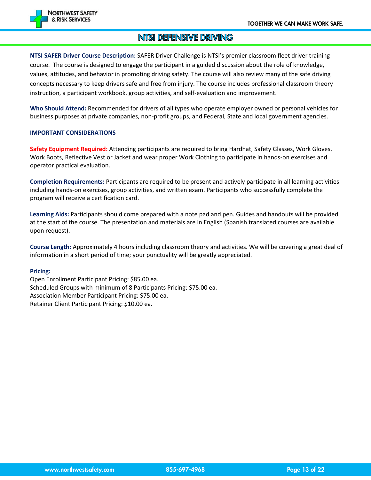

#### NTSI DEFENSIVE DRIVING

**NTSI SAFER Driver Course Description:** SAFER Driver Challenge is NTSI's premier classroom fleet driver training course. The course is designed to engage the participant in a guided discussion about the role of knowledge, values, attitudes, and behavior in promoting driving safety. The course will also review many of the safe driving concepts necessary to keep drivers safe and free from injury. The course includes professional classroom theory instruction, a participant workbook, group activities, and self-evaluation and improvement.

**Who Should Attend:** Recommended for drivers of all types who operate employer owned or personal vehicles for business purposes at private companies, non-profit groups, and Federal, State and local government agencies.

#### **IMPORTANT CONSIDERATIONS**

**Safety Equipment Required:** Attending participants are required to bring Hardhat, Safety Glasses, Work Gloves, Work Boots, Reflective Vest or Jacket and wear proper Work Clothing to participate in hands-on exercises and operator practical evaluation.

**Completion Requirements:** Participants are required to be present and actively participate in all learning activities including hands-on exercises, group activities, and written exam. Participants who successfully complete the program will receive a certification card.

**Learning Aids:** Participants should come prepared with a note pad and pen. Guides and handouts will be provided at the start of the course. The presentation and materials are in English (Spanish translated courses are available upon request).

**Course Length:** Approximately 4 hours including classroom theory and activities. We will be covering a great deal of information in a short period of time; your punctuality will be greatly appreciated.

#### **Pricing:**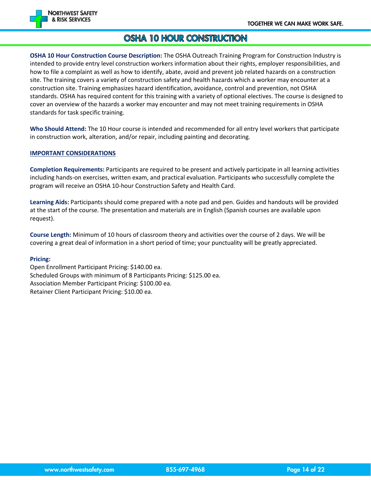

#### OSHA 10 HOUR CONSTRUCTION

**OSHA 10 Hour Construction Course Description:** The OSHA Outreach Training Program for Construction Industry is intended to provide entry level construction workers information about their rights, employer responsibilities, and how to file a complaint as well as how to identify, abate, avoid and prevent job related hazards on a construction site. The training covers a variety of construction safety and health hazards which a worker may encounter at a construction site. Training emphasizes hazard identification, avoidance, control and prevention, not OSHA standards. OSHA has required content for this training with a variety of optional electives. The course is designed to cover an overview of the hazards a worker may encounter and may not meet training requirements in OSHA standards for task specific training.

**Who Should Attend:** The 10 Hour course is intended and recommended for all entry level workers that participate in construction work, alteration, and/or repair, including painting and decorating.

#### **IMPORTANT CONSIDERATIONS**

**Completion Requirements:** Participants are required to be present and actively participate in all learning activities including hands-on exercises, written exam, and practical evaluation. Participants who successfully complete the program will receive an OSHA 10-hour Construction Safety and Health Card.

**Learning Aids:** Participants should come prepared with a note pad and pen. Guides and handouts will be provided at the start of the course. The presentation and materials are in English (Spanish courses are available upon request).

**Course Length:** Minimum of 10 hours of classroom theory and activities over the course of 2 days. We will be covering a great deal of information in a short period of time; your punctuality will be greatly appreciated.

#### **Pricing:**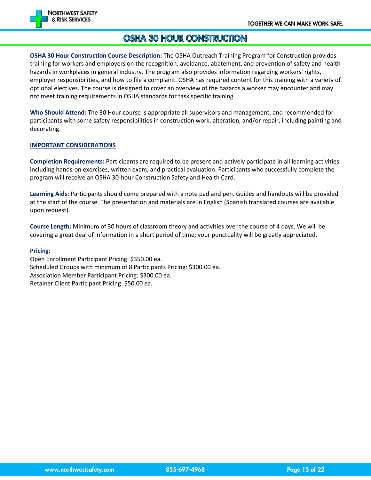

#### OSHA 30 HOUR CONSTRUCTION

**OSHA 30 Hour Construction Course Description:** The OSHA Outreach Training Program for Construction provides training for workers and employers on the recognition, avoidance, abatement, and prevention of safety and health hazards in workplaces in general industry. The program also provides information regarding workers' rights, employer responsibilities, and how to file a complaint. OSHA has required content for this training with a variety of optional electives. The course is designed to cover an overview of the hazards a worker may encounter and may not meet training requirements in OSHA standards for task specific training.

**Who Should Attend:** The 30 Hour course is appropriate all supervisors and management, and recommended for participants with some safety responsibilities in construction work, alteration, and/or repair, including painting and decorating.

#### **IMPORTANT CONSIDERATIONS**

**Completion Requirements:** Participants are required to be present and actively participate in all learning activities including hands-on exercises, written exam, and practical evaluation. Participants who successfully complete the program will receive an OSHA 30-hour Construction Safety and Health Card.

**Learning Aids:** Participants should come prepared with a note pad and pen. Guides and handouts will be provided at the start of the course. The presentation and materials are in English (Spanish translated courses are available upon request).

**Course Length:** Minimum of 30 hours of classroom theory and activities over the course of 4 days. We will be covering a great deal of information in a short period of time; your punctuality will be greatly appreciated.

#### **Pricing:**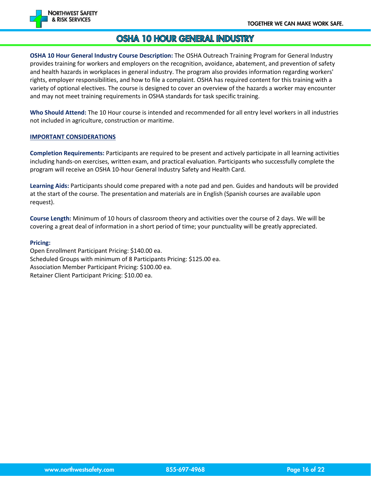

#### OSHA 10 HOUR GENERAL INDUSTRY

**OSHA 10 Hour General Industry Course Description:** The OSHA Outreach Training Program for General Industry provides training for workers and employers on the recognition, avoidance, abatement, and prevention of safety and health hazards in workplaces in general industry. The program also provides information regarding workers' rights, employer responsibilities, and how to file a complaint. OSHA has required content for this training with a variety of optional electives. The course is designed to cover an overview of the hazards a worker may encounter and may not meet training requirements in OSHA standards for task specific training.

**Who Should Attend:** The 10 Hour course is intended and recommended for all entry level workers in all industries not included in agriculture, construction or maritime.

#### **IMPORTANT CONSIDERATIONS**

**Completion Requirements:** Participants are required to be present and actively participate in all learning activities including hands-on exercises, written exam, and practical evaluation. Participants who successfully complete the program will receive an OSHA 10-hour General Industry Safety and Health Card.

**Learning Aids:** Participants should come prepared with a note pad and pen. Guides and handouts will be provided at the start of the course. The presentation and materials are in English (Spanish courses are available upon request).

**Course Length:** Minimum of 10 hours of classroom theory and activities over the course of 2 days. We will be covering a great deal of information in a short period of time; your punctuality will be greatly appreciated.

#### **Pricing:**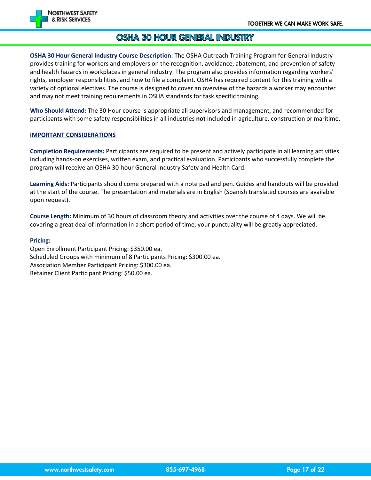

#### **OSHA 30 HOUR GENERAL INDUSTRY**

**OSHA 30 Hour General Industry Course Description:** The OSHA Outreach Training Program for General Industry provides training for workers and employers on the recognition, avoidance, abatement, and prevention of safety and health hazards in workplaces in general industry. The program also provides information regarding workers' rights, employer responsibilities, and how to file a complaint. OSHA has required content for this training with a variety of optional electives. The course is designed to cover an overview of the hazards a worker may encounter and may not meet training requirements in OSHA standards for task specific training.

**Who Should Attend:** The 30 Hour course is appropriate all supervisors and management, and recommended for participants with some safety responsibilities in all industries **not** included in agriculture, construction or maritime.

#### **IMPORTANT CONSIDERATIONS**

**Completion Requirements:** Participants are required to be present and actively participate in all learning activities including hands-on exercises, written exam, and practical evaluation. Participants who successfully complete the program will receive an OSHA 30-hour General Industry Safety and Health Card.

**Learning Aids:** Participants should come prepared with a note pad and pen. Guides and handouts will be provided at the start of the course. The presentation and materials are in English (Spanish translated courses are available upon request).

**Course Length:** Minimum of 30 hours of classroom theory and activities over the course of 4 days. We will be covering a great deal of information in a short period of time; your punctuality will be greatly appreciated.

#### **Pricing:**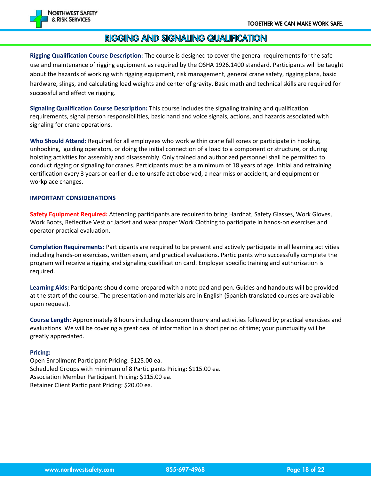

#### RIGGING AND SIGNALING QUALIFICATION

**Rigging Qualification Course Description:** The course is designed to cover the general requirements for the safe use and maintenance of rigging equipment as required by the OSHA 1926.1400 standard. Participants will be taught about the hazards of working with rigging equipment, risk management, general crane safety, rigging plans, basic hardware, slings, and calculating load weights and center of gravity. Basic math and technical skills are required for successful and effective rigging.

**Signaling Qualification Course Description:** This course includes the signaling training and qualification requirements, signal person responsibilities, basic hand and voice signals, actions, and hazards associated with signaling for crane operations.

**Who Should Attend:** Required for all employees who work within crane fall zones or participate in hooking, unhooking, guiding operators, or doing the initial connection of a load to a component or structure, or during hoisting activities for assembly and disassembly. Only trained and authorized personnel shall be permitted to conduct rigging or signaling for cranes. Participants must be a minimum of 18 years of age. Initial and retraining certification every 3 years or earlier due to unsafe act observed, a near miss or accident, and equipment or workplace changes.

#### **IMPORTANT CONSIDERATIONS**

**Safety Equipment Required:** Attending participants are required to bring Hardhat, Safety Glasses, Work Gloves, Work Boots, Reflective Vest or Jacket and wear proper Work Clothing to participate in hands-on exercises and operator practical evaluation.

**Completion Requirements:** Participants are required to be present and actively participate in all learning activities including hands-on exercises, written exam, and practical evaluations. Participants who successfully complete the program will receive a rigging and signaling qualification card. Employer specific training and authorization is required.

**Learning Aids:** Participants should come prepared with a note pad and pen. Guides and handouts will be provided at the start of the course. The presentation and materials are in English (Spanish translated courses are available upon request).

**Course Length:** Approximately 8 hours including classroom theory and activities followed by practical exercises and evaluations. We will be covering a great deal of information in a short period of time; your punctuality will be greatly appreciated.

#### **Pricing:**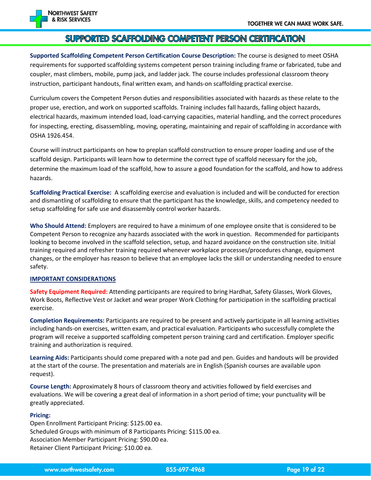

#### SUPPORTED SCAFFOLDING COMPETENT PERSON CERTIFICATION

**Supported Scaffolding Competent Person Certification Course Description:** The course is designed to meet OSHA requirements for supported scaffolding systems competent person training including frame or fabricated, tube and coupler, mast climbers, mobile, pump jack, and ladder jack. The course includes professional classroom theory instruction, participant handouts, final written exam, and hands-on scaffolding practical exercise.

Curriculum covers the Competent Person duties and responsibilities associated with hazards as these relate to the proper use, erection, and work on supported scaffolds. Training includes fall hazards, falling object hazards, electrical hazards, maximum intended load, load-carrying capacities, material handling, and the correct procedures for inspecting, erecting, disassembling, moving, operating, maintaining and repair of scaffolding in accordance with OSHA 1926.454.

Course will instruct participants on how to preplan scaffold construction to ensure proper loading and use of the scaffold design. Participants will learn how to determine the correct type of scaffold necessary for the job, determine the maximum load of the scaffold, how to assure a good foundation for the scaffold, and how to address hazards.

**Scaffolding Practical Exercise:** A scaffolding exercise and evaluation is included and will be conducted for erection and dismantling of scaffolding to ensure that the participant has the knowledge, skills, and competency needed to setup scaffolding for safe use and disassembly control worker hazards.

**Who Should Attend:** Employers are required to have a minimum of one employee onsite that is considered to be Competent Person to recognize any hazards associated with the work in question. Recommended for participants looking to become involved in the scaffold selection, setup, and hazard avoidance on the construction site. Initial training required and refresher training required whenever workplace processes/procedures change, equipment changes, or the employer has reason to believe that an employee lacks the skill or understanding needed to ensure safety.

#### **IMPORTANT CONSIDERATIONS**

**Safety Equipment Required:** Attending participants are required to bring Hardhat, Safety Glasses, Work Gloves, Work Boots, Reflective Vest or Jacket and wear proper Work Clothing for participation in the scaffolding practical exercise.

**Completion Requirements:** Participants are required to be present and actively participate in all learning activities including hands-on exercises, written exam, and practical evaluation. Participants who successfully complete the program will receive a supported scaffolding competent person training card and certification. Employer specific training and authorization is required.

**Learning Aids:** Participants should come prepared with a note pad and pen. Guides and handouts will be provided at the start of the course. The presentation and materials are in English (Spanish courses are available upon request).

**Course Length:** Approximately 8 hours of classroom theory and activities followed by field exercises and evaluations. We will be covering a great deal of information in a short period of time; your punctuality will be greatly appreciated.

#### **Pricing:**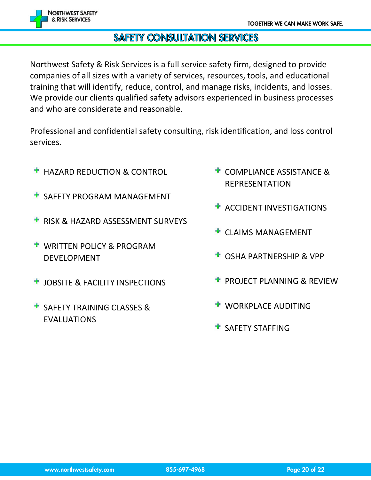

## **SAFETY CONSULTATION SERVICES**

Northwest Safety & Risk Services is a full service safety firm, designed to provide companies of all sizes with a variety of services, resources, tools, and educational training that will identify, reduce, control, and manage risks, incidents, and losses. We provide our clients qualified safety advisors experienced in business processes and who are considerate and reasonable.

Professional and confidential safety consulting, risk identification, and loss control services.

- **H** HAZARD REDUCTION & CONTROL
- **T** SAFETY PROGRAM MANAGEMENT
- **RISK & HAZARD ASSESSMENT SURVEYS**
- **WRITTEN POLICY & PROGRAM** DEVELOPMENT
- *L* JOBSITE & FACILITY INSPECTIONS
- **SAFETY TRAINING CLASSES &** EVALUATIONS
- **COMPLIANCE ASSISTANCE &** REPRESENTATION
- ACCIDENT INVESTIGATIONS
- CLAIMS MANAGEMENT
- OSHA PARTNERSHIP & VPP
- PROJECT PLANNING & REVIEW
- WORKPLACE AUDITING
- **SAFFTY STAFFING**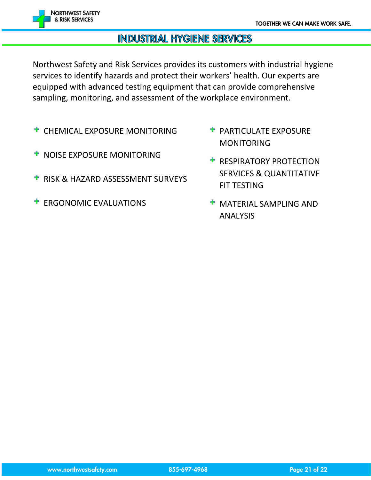

#### **INDUSTRIAL HYGIENE SERVICES**

Northwest Safety and Risk Services provides its customers with industrial hygiene services to identify hazards and protect their workers' health. Our experts are equipped with advanced testing equipment that can provide comprehensive sampling, monitoring, and assessment of the workplace environment.

- CHEMICAL EXPOSURE MONITORING
- **T** NOISE EXPOSURE MONITORING
- **RISK & HAZARD ASSESSMENT SURVEYS**
- ERGONOMIC EVALUATIONS
- **PARTICULATE EXPOSURE** MONITORING
- **RESPIRATORY PROTECTION** SERVICES & QUANTITATIVE FIT TESTING
- MATERIAL SAMPLING AND ANALYSIS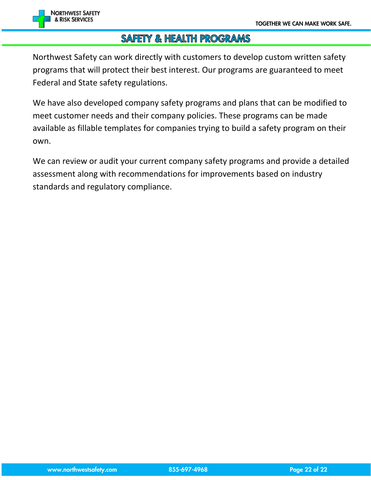

#### **SAFETY & HEALTH PROGRAMS**

Northwest Safety can work directly with customers to develop custom written safety programs that will protect their best interest. Our programs are guaranteed to meet Federal and State safety regulations.

We have also developed company safety programs and plans that can be modified to meet customer needs and their company policies. These programs can be made available as fillable templates for companies trying to build a safety program on their own.

We can review or audit your current company safety programs and provide a detailed assessment along with recommendations for improvements based on industry standards and regulatory compliance.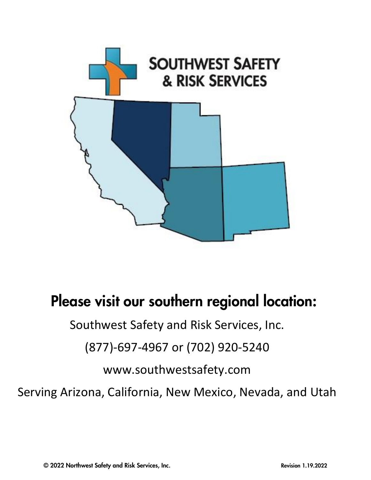

# Please visit our southern regional location:

Southwest Safety and Risk Services, Inc.

(877)-697-4967 or (702) 920-5240

www.southwestsafety.com

Serving Arizona, California, New Mexico, Nevada, and Utah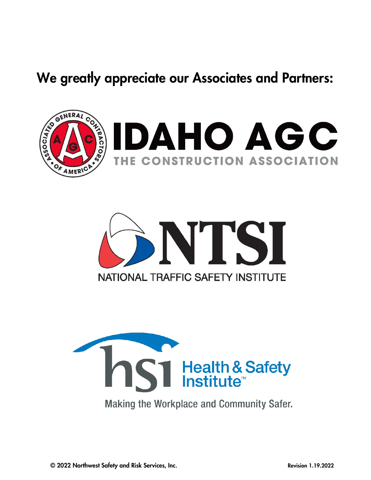## We greatly appreciate our Associates and Partners:







**Making the Workplace and Community Safer.**